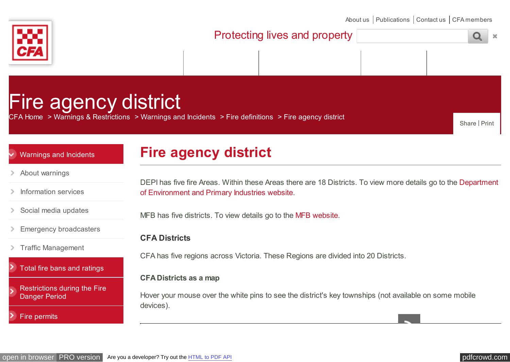<span id="page-0-0"></span>

[About us](http://www.cfa.vic.gov.au/about) | [Publications](http://www.cfa.vic.gov.au/about/publications/) | [Contact us](http://www.cfa.vic.gov.au/contact) | [CFA members](https://cfaonline.cfa.vic.gov.au/mycfa/Show?pageId=colHome)

| Protecting lives and property |  |  |  |  |  |
|-------------------------------|--|--|--|--|--|
|                               |  |  |  |  |  |
|                               |  |  |  |  |  |

# Fire agency district

[CFA Home](http://www.cfa.vic.gov.au/) > [Warnings & Restrictions](http://www.cfa.vic.gov.au/warnings-restrictions) > [Warnings and Incidents](http://www.cfa.vic.gov.au/warnings-restrictions/warnings-and-incidents) > [Fire definitions](http://www.cfa.vic.gov.au/warnings-restrictions/fire-definitions) > [Fire agency district](http://www.cfa.vic.gov.au/warnings-restrictions/fire-agency-district)

Share | Print

### [Warnings and Incidents](http://www.cfa.vic.gov.au/warnings-restrictions/warnings-and-incidents)

## **Fire agency district**

- [About warnings](http://www.cfa.vic.gov.au/warnings-restrictions/about-warnings)
- [Information services](http://www.cfa.vic.gov.au/warnings-restrictions/information-services)  $\geq$
- [Social media updates](http://www.cfa.vic.gov.au/warnings-restrictions/social-media-updates)  $\rightarrow$
- [Emergency broadcasters](http://www.cfa.vic.gov.au/warnings-restrictions/emergency-broadcasters)
- [Traffic Management](http://www.cfa.vic.gov.au/warnings-restrictions/traffic-management-points-road-closures) ⋗
- > [Total fire bans and ratings](http://www.cfa.vic.gov.au/warnings-restrictions/total-fire-bans-and-ratings)
- [Restrictions during the Fire](http://www.cfa.vic.gov.au/warnings-restrictions/restrictions-during-the-fire-danger-period) Danger Period

[Fire permits](http://www.cfa.vic.gov.au/warnings-restrictions/fire-permits)

[DEPI has five fire Areas. Within these Areas there are 18 Districts. To view more details go to the Department](http://www.dse.vic.gov.au/fire-and-other-emergencies/fire-management/fire-areas-and-districts) of Environment and Primary Industries website.

MFB has five districts. To view details go to the [MFB website.](http://www.mfb.vic.gov.au/About-Us/Stations-and-Districts.html)

### **CFA Districts**

CFA has five regions across Victoria. These Regions are divided into 20 Districts.

#### **CFA Districts as a map**

Hover your mouse over the white pins to see the district's key townships (not available on some mobile devices).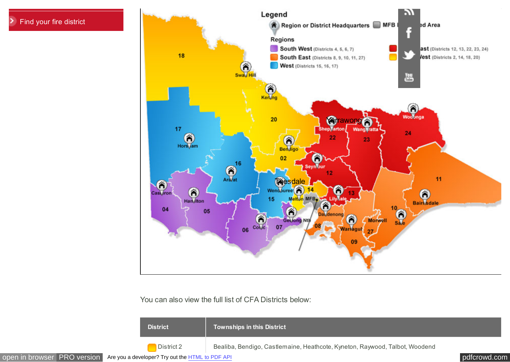

You can also view the full list of CFA Districts below:

| <b>District</b> | Townships in this District                                                  |
|-----------------|-----------------------------------------------------------------------------|
| District 2      | Bealiba, Bendigo, Castlemaine, Heathcote, Kyneton, Raywood, Talbot, Woodend |

[open in browser](http://pdfcrowd.com/redirect/?url=http%3a%2f%2fwww.cfa.vic.gov.au%2fwarnings-restrictions%2ffire-agency-district%2f&id=ma-170819233442-471e280c) [PRO version](http://pdfcrowd.com/customize/) Are you a developer? Try out th[e HTML to PDF API](http://pdfcrowd.com/html-to-pdf-api/?ref=pdf) position of the ATML to PDF API [pdfcrowd.com](http://pdfcrowd.com)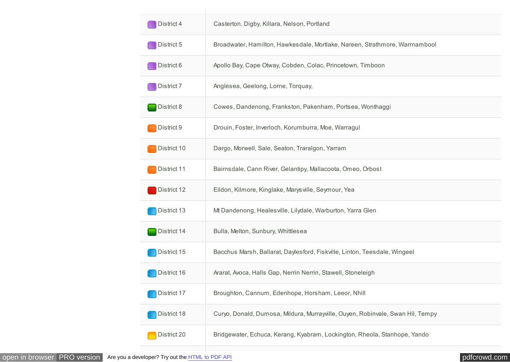<span id="page-2-0"></span>

| District 4  | Casterton, Digby, Killara, Nelson, Portland                                    |
|-------------|--------------------------------------------------------------------------------|
| District 5  | Broadwater, Hamilton, Hawkesdale, Mortlake, Nareen, Strathmore, Warrnambool    |
| District 6  | Apollo Bay, Cape Otway, Cobden, Colac, Princetown, Timboon                     |
| District 7  | Anglesea, Geelong, Lorne, Torquay,                                             |
| District 8  | Cowes, Dandenong, Frankston, Pakenham, Portsea, Wonthaggi                      |
| District 9  | Drouin, Foster, Inverloch, Korumburra, Moe, Warragul                           |
| District 10 | Dargo, Morwell, Sale, Seaton, Traralgon, Yarram                                |
| District 11 | Bairnsdale, Cann River, Gelantipy, Mallacoota, Omeo, Orbost                    |
| District 12 | Eildon, Kilmore, Kinglake, Marysville, Seymour, Yea                            |
| District 13 | Mt Dandenong, Healesville, Lilydale, Warburton, Yarra Glen                     |
| District 14 | Bulla, Melton, Sunbury, Whittlesea                                             |
| District 15 | Bacchus Marsh, Ballarat, Daylesford, Fiskville, Linton, Teesdale, Wingeel      |
| District 16 | Ararat, Avoca, Halls Gap, Nerrin Nerrin, Stawell, Stoneleigh                   |
| District 17 | Broughton, Cannum, Edenhope, Horsham, Leeor, Nhill                             |
| District 18 | Curyo, Donald, Dumosa, Mildura, Murrayville, Ouyen, Robinvale, Swan Hil, Tempy |
| District 20 | Bridgewater, Echuca, Kerang, Kyabram, Lockington, Rheola, Stanhope, Yando      |